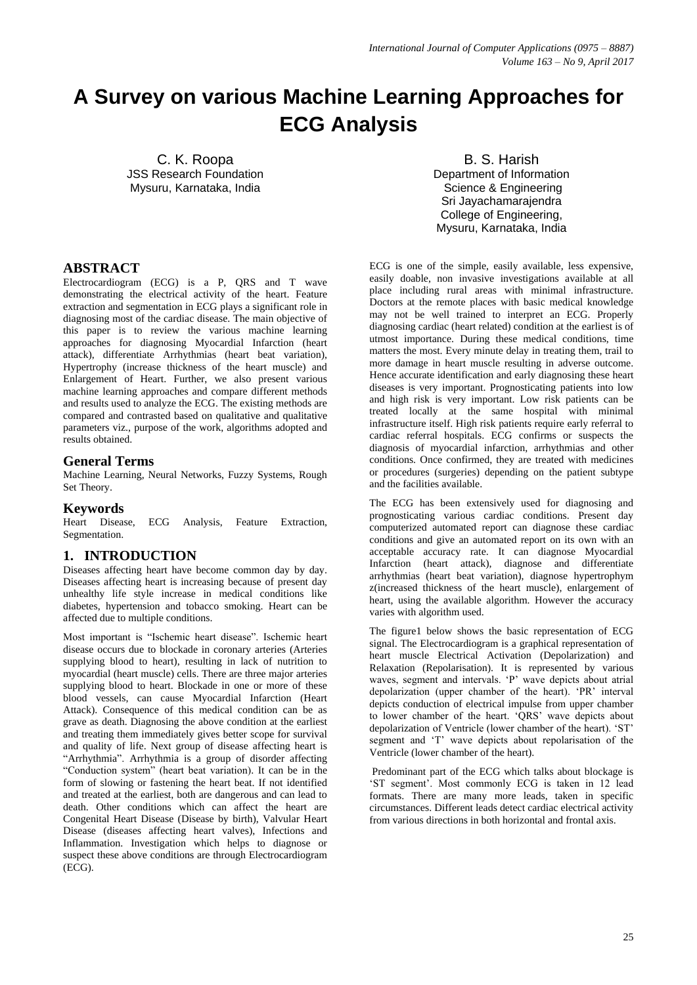# **A Survey on various Machine Learning Approaches for ECG Analysis**

C. K. Roopa JSS Research Foundation Mysuru, Karnataka, India

B. S. Harish Department of Information Science & Engineering Sri Jayachamarajendra College of Engineering, Mysuru, Karnataka, India

#### **ABSTRACT**

Electrocardiogram (ECG) is a P, QRS and T wave demonstrating the electrical activity of the heart. Feature extraction and segmentation in ECG plays a significant role in diagnosing most of the cardiac disease. The main objective of this paper is to review the various machine learning approaches for diagnosing Myocardial Infarction (heart attack), differentiate Arrhythmias (heart beat variation), Hypertrophy (increase thickness of the heart muscle) and Enlargement of Heart. Further, we also present various machine learning approaches and compare different methods and results used to analyze the ECG. The existing methods are compared and contrasted based on qualitative and qualitative parameters viz., purpose of the work, algorithms adopted and results obtained.

#### **General Terms**

Machine Learning, Neural Networks, Fuzzy Systems, Rough Set Theory.

#### **Keywords**

Heart Disease, ECG Analysis, Feature Extraction, Segmentation.

# **1. INTRODUCTION**

Diseases affecting heart have become common day by day. Diseases affecting heart is increasing because of present day unhealthy life style increase in medical conditions like diabetes, hypertension and tobacco smoking. Heart can be affected due to multiple conditions.

Most important is "Ischemic heart disease". Ischemic heart disease occurs due to blockade in coronary arteries (Arteries supplying blood to heart), resulting in lack of nutrition to myocardial (heart muscle) cells. There are three major arteries supplying blood to heart. Blockade in one or more of these blood vessels, can cause Myocardial Infarction (Heart Attack). Consequence of this medical condition can be as grave as death. Diagnosing the above condition at the earliest and treating them immediately gives better scope for survival and quality of life. Next group of disease affecting heart is "Arrhythmia". Arrhythmia is a group of disorder affecting "Conduction system" (heart beat variation). It can be in the form of slowing or fastening the heart beat. If not identified and treated at the earliest, both are dangerous and can lead to death. Other conditions which can affect the heart are Congenital Heart Disease (Disease by birth), Valvular Heart Disease (diseases affecting heart valves), Infections and Inflammation. Investigation which helps to diagnose or suspect these above conditions are through Electrocardiogram (ECG).

ECG is one of the simple, easily available, less expensive, easily doable, non invasive investigations available at all place including rural areas with minimal infrastructure. Doctors at the remote places with basic medical knowledge may not be well trained to interpret an ECG. Properly diagnosing cardiac (heart related) condition at the earliest is of utmost importance. During these medical conditions, time matters the most. Every minute delay in treating them, trail to more damage in heart muscle resulting in adverse outcome. Hence accurate identification and early diagnosing these heart diseases is very important. Prognosticating patients into low and high risk is very important. Low risk patients can be treated locally at the same hospital with minimal infrastructure itself. High risk patients require early referral to cardiac referral hospitals. ECG confirms or suspects the diagnosis of myocardial infarction, arrhythmias and other conditions. Once confirmed, they are treated with medicines or procedures (surgeries) depending on the patient subtype and the facilities available.

The ECG has been extensively used for diagnosing and prognosticating various cardiac conditions. Present day computerized automated report can diagnose these cardiac conditions and give an automated report on its own with an acceptable accuracy rate. It can diagnose Myocardial Infarction (heart attack), diagnose and differentiate arrhythmias (heart beat variation), diagnose hypertrophym z(increased thickness of the heart muscle), enlargement of heart, using the available algorithm. However the accuracy varies with algorithm used.

The figure1 below shows the basic representation of ECG signal. The Electrocardiogram is a graphical representation of heart muscle Electrical Activation (Depolarization) and Relaxation (Repolarisation). It is represented by various waves, segment and intervals. 'P' wave depicts about atrial depolarization (upper chamber of the heart). 'PR' interval depicts conduction of electrical impulse from upper chamber to lower chamber of the heart. "QRS" wave depicts about depolarization of Ventricle (lower chamber of the heart). "ST" segment and 'T' wave depicts about repolarisation of the Ventricle (lower chamber of the heart).

Predominant part of the ECG which talks about blockage is 'ST segment'. Most commonly ECG is taken in 12 lead formats. There are many more leads, taken in specific circumstances. Different leads detect cardiac electrical activity from various directions in both horizontal and frontal axis.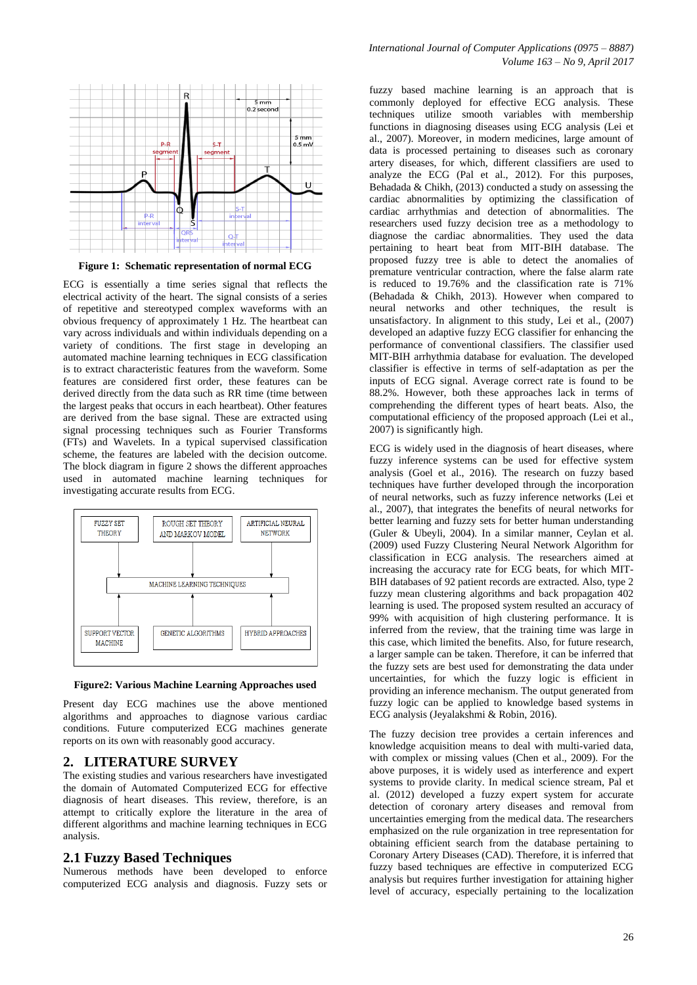

**Figure 1: Schematic representation of normal ECG**

ECG is essentially a time series signal that reflects the electrical activity of the heart. The signal consists of a series of repetitive and stereotyped complex waveforms with an obvious frequency of approximately 1 Hz. The heartbeat can vary across individuals and within individuals depending on a variety of conditions. The first stage in developing an automated machine learning techniques in ECG classification is to extract characteristic features from the waveform. Some features are considered first order, these features can be derived directly from the data such as RR time (time between the largest peaks that occurs in each heartbeat). Other features are derived from the base signal. These are extracted using signal processing techniques such as Fourier Transforms (FTs) and Wavelets. In a typical supervised classification scheme, the features are labeled with the decision outcome. The block diagram in figure 2 shows the different approaches used in automated machine learning techniques for investigating accurate results from ECG.



#### **Figure2: Various Machine Learning Approaches used**

Present day ECG machines use the above mentioned algorithms and approaches to diagnose various cardiac conditions. Future computerized ECG machines generate reports on its own with reasonably good accuracy.

#### **2. LITERATURE SURVEY**

The existing studies and various researchers have investigated the domain of Automated Computerized ECG for effective diagnosis of heart diseases. This review, therefore, is an attempt to critically explore the literature in the area of different algorithms and machine learning techniques in ECG analysis.

#### **2.1 Fuzzy Based Techniques**

Numerous methods have been developed to enforce computerized ECG analysis and diagnosis. Fuzzy sets or

fuzzy based machine learning is an approach that is commonly deployed for effective ECG analysis. These techniques utilize smooth variables with membership functions in diagnosing diseases using ECG analysis (Lei et al., 2007). Moreover, in modern medicines, large amount of data is processed pertaining to diseases such as coronary artery diseases, for which, different classifiers are used to analyze the ECG (Pal et al., 2012). For this purposes, Behadada & Chikh, (2013) conducted a study on assessing the cardiac abnormalities by optimizing the classification of cardiac arrhythmias and detection of abnormalities. The researchers used fuzzy decision tree as a methodology to diagnose the cardiac abnormalities. They used the data pertaining to heart beat from MIT-BIH database. The proposed fuzzy tree is able to detect the anomalies of premature ventricular contraction, where the false alarm rate is reduced to 19.76% and the classification rate is 71% (Behadada & Chikh, 2013). However when compared to neural networks and other techniques, the result is unsatisfactory. In alignment to this study, Lei et al., (2007) developed an adaptive fuzzy ECG classifier for enhancing the performance of conventional classifiers. The classifier used MIT-BIH arrhythmia database for evaluation. The developed classifier is effective in terms of self-adaptation as per the inputs of ECG signal. Average correct rate is found to be 88.2%. However, both these approaches lack in terms of comprehending the different types of heart beats. Also, the computational efficiency of the proposed approach (Lei et al., 2007) is significantly high.

ECG is widely used in the diagnosis of heart diseases, where fuzzy inference systems can be used for effective system analysis (Goel et al., 2016). The research on fuzzy based techniques have further developed through the incorporation of neural networks, such as fuzzy inference networks (Lei et al., 2007), that integrates the benefits of neural networks for better learning and fuzzy sets for better human understanding (Guler & Ubeyli, 2004). In a similar manner, Ceylan et al. (2009) used Fuzzy Clustering Neural Network Algorithm for classification in ECG analysis. The researchers aimed at increasing the accuracy rate for ECG beats, for which MIT-BIH databases of 92 patient records are extracted. Also, type 2 fuzzy mean clustering algorithms and back propagation 402 learning is used. The proposed system resulted an accuracy of 99% with acquisition of high clustering performance. It is inferred from the review, that the training time was large in this case, which limited the benefits. Also, for future research, a larger sample can be taken. Therefore, it can be inferred that the fuzzy sets are best used for demonstrating the data under uncertainties, for which the fuzzy logic is efficient in providing an inference mechanism. The output generated from fuzzy logic can be applied to knowledge based systems in ECG analysis (Jeyalakshmi & Robin, 2016).

The fuzzy decision tree provides a certain inferences and knowledge acquisition means to deal with multi-varied data, with complex or missing values (Chen et al., 2009). For the above purposes, it is widely used as interference and expert systems to provide clarity. In medical science stream, Pal et al. (2012) developed a fuzzy expert system for accurate detection of coronary artery diseases and removal from uncertainties emerging from the medical data. The researchers emphasized on the rule organization in tree representation for obtaining efficient search from the database pertaining to Coronary Artery Diseases (CAD). Therefore, it is inferred that fuzzy based techniques are effective in computerized ECG analysis but requires further investigation for attaining higher level of accuracy, especially pertaining to the localization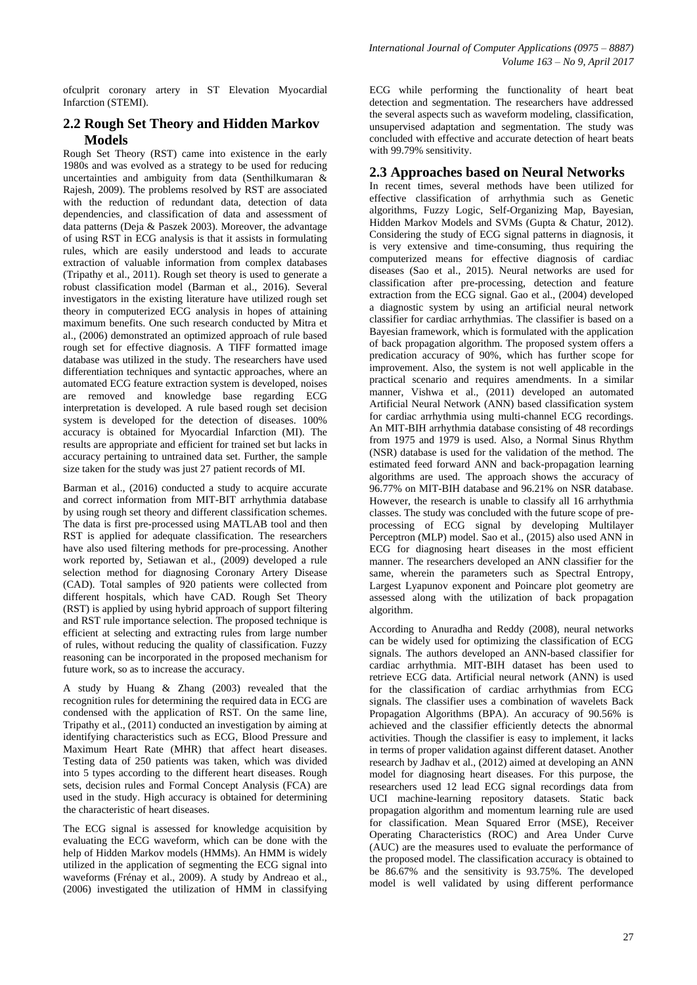ofculprit coronary artery in ST Elevation Myocardial Infarction (STEMI).

#### **2.2 Rough Set Theory and Hidden Markov Models**

Rough Set Theory (RST) came into existence in the early 1980s and was evolved as a strategy to be used for reducing uncertainties and ambiguity from data (Senthilkumaran & Rajesh, 2009). The problems resolved by RST are associated with the reduction of redundant data, detection of data dependencies, and classification of data and assessment of data patterns (Deja & Paszek 2003). Moreover, the advantage of using RST in ECG analysis is that it assists in formulating rules, which are easily understood and leads to accurate extraction of valuable information from complex databases (Tripathy et al., 2011). Rough set theory is used to generate a robust classification model (Barman et al., 2016). Several investigators in the existing literature have utilized rough set theory in computerized ECG analysis in hopes of attaining maximum benefits. One such research conducted by Mitra et al., (2006) demonstrated an optimized approach of rule based rough set for effective diagnosis. A TIFF formatted image database was utilized in the study. The researchers have used differentiation techniques and syntactic approaches, where an automated ECG feature extraction system is developed, noises are removed and knowledge base regarding ECG interpretation is developed. A rule based rough set decision system is developed for the detection of diseases. 100% accuracy is obtained for Myocardial Infarction (MI). The results are appropriate and efficient for trained set but lacks in accuracy pertaining to untrained data set. Further, the sample size taken for the study was just 27 patient records of MI.

Barman et al., (2016) conducted a study to acquire accurate and correct information from MIT-BIT arrhythmia database by using rough set theory and different classification schemes. The data is first pre-processed using MATLAB tool and then RST is applied for adequate classification. The researchers have also used filtering methods for pre-processing. Another work reported by, Setiawan et al., (2009) developed a rule selection method for diagnosing Coronary Artery Disease (CAD). Total samples of 920 patients were collected from different hospitals, which have CAD. Rough Set Theory (RST) is applied by using hybrid approach of support filtering and RST rule importance selection. The proposed technique is efficient at selecting and extracting rules from large number of rules, without reducing the quality of classification. Fuzzy reasoning can be incorporated in the proposed mechanism for future work, so as to increase the accuracy.

A study by Huang & Zhang (2003) revealed that the recognition rules for determining the required data in ECG are condensed with the application of RST. On the same line, Tripathy et al., (2011) conducted an investigation by aiming at identifying characteristics such as ECG, Blood Pressure and Maximum Heart Rate (MHR) that affect heart diseases. Testing data of 250 patients was taken, which was divided into 5 types according to the different heart diseases. Rough sets, decision rules and Formal Concept Analysis (FCA) are used in the study. High accuracy is obtained for determining the characteristic of heart diseases.

The ECG signal is assessed for knowledge acquisition by evaluating the ECG waveform, which can be done with the help of Hidden Markov models (HMMs). An HMM is widely utilized in the application of segmenting the ECG signal into waveforms (Frénay et al., 2009). A study by Andreao et al., (2006) investigated the utilization of HMM in classifying ECG while performing the functionality of heart beat detection and segmentation. The researchers have addressed the several aspects such as waveform modeling, classification, unsupervised adaptation and segmentation. The study was concluded with effective and accurate detection of heart beats with 99.79% sensitivity.

## **2.3 Approaches based on Neural Networks**

In recent times, several methods have been utilized for effective classification of arrhythmia such as Genetic algorithms, Fuzzy Logic, Self-Organizing Map, Bayesian, Hidden Markov Models and SVMs (Gupta & Chatur, 2012). Considering the study of ECG signal patterns in diagnosis, it is very extensive and time-consuming, thus requiring the computerized means for effective diagnosis of cardiac diseases (Sao et al., 2015). Neural networks are used for classification after pre-processing, detection and feature extraction from the ECG signal. Gao et al., (2004) developed a diagnostic system by using an artificial neural network classifier for cardiac arrhythmias. The classifier is based on a Bayesian framework, which is formulated with the application of back propagation algorithm. The proposed system offers a predication accuracy of 90%, which has further scope for improvement. Also, the system is not well applicable in the practical scenario and requires amendments. In a similar manner, Vishwa et al., (2011) developed an automated Artificial Neural Network (ANN) based classification system for cardiac arrhythmia using multi-channel ECG recordings. An MIT-BIH arrhythmia database consisting of 48 recordings from 1975 and 1979 is used. Also, a Normal Sinus Rhythm (NSR) database is used for the validation of the method. The estimated feed forward ANN and back-propagation learning algorithms are used. The approach shows the accuracy of 96.77% on MIT-BIH database and 96.21% on NSR database. However, the research is unable to classify all 16 arrhythmia classes. The study was concluded with the future scope of preprocessing of ECG signal by developing Multilayer Perceptron (MLP) model. Sao et al., (2015) also used ANN in ECG for diagnosing heart diseases in the most efficient manner. The researchers developed an ANN classifier for the same, wherein the parameters such as Spectral Entropy, Largest Lyapunov exponent and Poincare plot geometry are assessed along with the utilization of back propagation algorithm.

According to Anuradha and Reddy (2008), neural networks can be widely used for optimizing the classification of ECG signals. The authors developed an ANN-based classifier for cardiac arrhythmia. MIT-BIH dataset has been used to retrieve ECG data. Artificial neural network (ANN) is used for the classification of cardiac arrhythmias from ECG signals. The classifier uses a combination of wavelets Back Propagation Algorithms (BPA). An accuracy of 90.56% is achieved and the classifier efficiently detects the abnormal activities. Though the classifier is easy to implement, it lacks in terms of proper validation against different dataset. Another research by Jadhav et al., (2012) aimed at developing an ANN model for diagnosing heart diseases. For this purpose, the researchers used 12 lead ECG signal recordings data from UCI machine-learning repository datasets. Static back propagation algorithm and momentum learning rule are used for classification. Mean Squared Error (MSE), Receiver Operating Characteristics (ROC) and Area Under Curve (AUC) are the measures used to evaluate the performance of the proposed model. The classification accuracy is obtained to be 86.67% and the sensitivity is 93.75%. The developed model is well validated by using different performance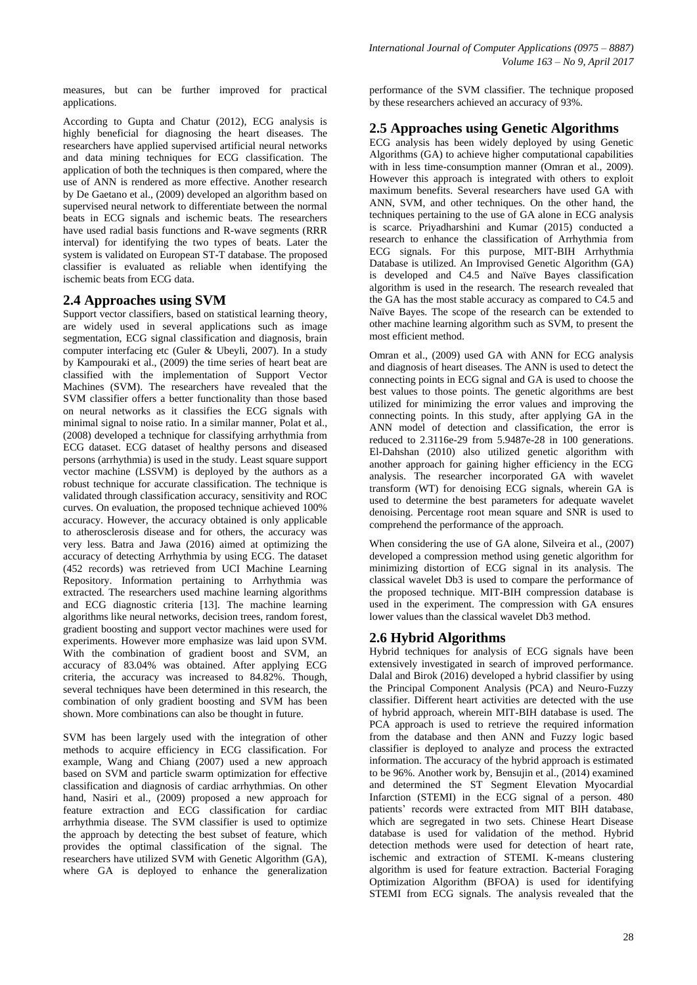measures, but can be further improved for practical applications.

According to Gupta and Chatur (2012), ECG analysis is highly beneficial for diagnosing the heart diseases. The researchers have applied supervised artificial neural networks and data mining techniques for ECG classification. The application of both the techniques is then compared, where the use of ANN is rendered as more effective. Another research by De Gaetano et al., (2009) developed an algorithm based on supervised neural network to differentiate between the normal beats in ECG signals and ischemic beats. The researchers have used radial basis functions and R-wave segments (RRR interval) for identifying the two types of beats. Later the system is validated on European ST-T database. The proposed classifier is evaluated as reliable when identifying the ischemic beats from ECG data.

#### **2.4 Approaches using SVM**

Support vector classifiers, based on statistical learning theory, are widely used in several applications such as image segmentation, ECG signal classification and diagnosis, brain computer interfacing etc (Guler & Ubeyli, 2007). In a study by Kampouraki et al., (2009) the time series of heart beat are classified with the implementation of Support Vector Machines (SVM). The researchers have revealed that the SVM classifier offers a better functionality than those based on neural networks as it classifies the ECG signals with minimal signal to noise ratio. In a similar manner, Polat et al., (2008) developed a technique for classifying arrhythmia from ECG dataset. ECG dataset of healthy persons and diseased persons (arrhythmia) is used in the study. Least square support vector machine (LSSVM) is deployed by the authors as a robust technique for accurate classification. The technique is validated through classification accuracy, sensitivity and ROC curves. On evaluation, the proposed technique achieved 100% accuracy. However, the accuracy obtained is only applicable to atherosclerosis disease and for others, the accuracy was very less. Batra and Jawa (2016) aimed at optimizing the accuracy of detecting Arrhythmia by using ECG. The dataset (452 records) was retrieved from UCI Machine Learning Repository. Information pertaining to Arrhythmia was extracted. The researchers used machine learning algorithms and ECG diagnostic criteria [13]. The machine learning algorithms like neural networks, decision trees, random forest, gradient boosting and support vector machines were used for experiments. However more emphasize was laid upon SVM. With the combination of gradient boost and SVM, an accuracy of 83.04% was obtained. After applying ECG criteria, the accuracy was increased to 84.82%. Though, several techniques have been determined in this research, the combination of only gradient boosting and SVM has been shown. More combinations can also be thought in future.

SVM has been largely used with the integration of other methods to acquire efficiency in ECG classification. For example, Wang and Chiang (2007) used a new approach based on SVM and particle swarm optimization for effective classification and diagnosis of cardiac arrhythmias. On other hand, Nasiri et al., (2009) proposed a new approach for feature extraction and ECG classification for cardiac arrhythmia disease. The SVM classifier is used to optimize the approach by detecting the best subset of feature, which provides the optimal classification of the signal. The researchers have utilized SVM with Genetic Algorithm (GA), where GA is deployed to enhance the generalization

performance of the SVM classifier. The technique proposed by these researchers achieved an accuracy of 93%.

## **2.5 Approaches using Genetic Algorithms**

ECG analysis has been widely deployed by using Genetic Algorithms (GA) to achieve higher computational capabilities with in less time-consumption manner (Omran et al., 2009). However this approach is integrated with others to exploit maximum benefits. Several researchers have used GA with ANN, SVM, and other techniques. On the other hand, the techniques pertaining to the use of GA alone in ECG analysis is scarce. Priyadharshini and Kumar (2015) conducted a research to enhance the classification of Arrhythmia from ECG signals. For this purpose, MIT-BIH Arrhythmia Database is utilized. An Improvised Genetic Algorithm (GA) is developed and C4.5 and Naïve Bayes classification algorithm is used in the research. The research revealed that the GA has the most stable accuracy as compared to C4.5 and Naïve Bayes. The scope of the research can be extended to other machine learning algorithm such as SVM, to present the most efficient method.

Omran et al., (2009) used GA with ANN for ECG analysis and diagnosis of heart diseases. The ANN is used to detect the connecting points in ECG signal and GA is used to choose the best values to those points. The genetic algorithms are best utilized for minimizing the error values and improving the connecting points. In this study, after applying GA in the ANN model of detection and classification, the error is reduced to 2.3116e-29 from 5.9487e-28 in 100 generations. El-Dahshan (2010) also utilized genetic algorithm with another approach for gaining higher efficiency in the ECG analysis. The researcher incorporated GA with wavelet transform (WT) for denoising ECG signals, wherein GA is used to determine the best parameters for adequate wavelet denoising. Percentage root mean square and SNR is used to comprehend the performance of the approach.

When considering the use of GA alone, Silveira et al., (2007) developed a compression method using genetic algorithm for minimizing distortion of ECG signal in its analysis. The classical wavelet Db3 is used to compare the performance of the proposed technique. MIT-BIH compression database is used in the experiment. The compression with GA ensures lower values than the classical wavelet Db3 method.

#### **2.6 Hybrid Algorithms**

Hybrid techniques for analysis of ECG signals have been extensively investigated in search of improved performance. Dalal and Birok (2016) developed a hybrid classifier by using the Principal Component Analysis (PCA) and Neuro-Fuzzy classifier. Different heart activities are detected with the use of hybrid approach, wherein MIT-BIH database is used. The PCA approach is used to retrieve the required information from the database and then ANN and Fuzzy logic based classifier is deployed to analyze and process the extracted information. The accuracy of the hybrid approach is estimated to be 96%. Another work by, Bensujin et al., (2014) examined and determined the ST Segment Elevation Myocardial Infarction (STEMI) in the ECG signal of a person. 480 patients" records were extracted from MIT BIH database, which are segregated in two sets. Chinese Heart Disease database is used for validation of the method. Hybrid detection methods were used for detection of heart rate, ischemic and extraction of STEMI. K-means clustering algorithm is used for feature extraction. Bacterial Foraging Optimization Algorithm (BFOA) is used for identifying STEMI from ECG signals. The analysis revealed that the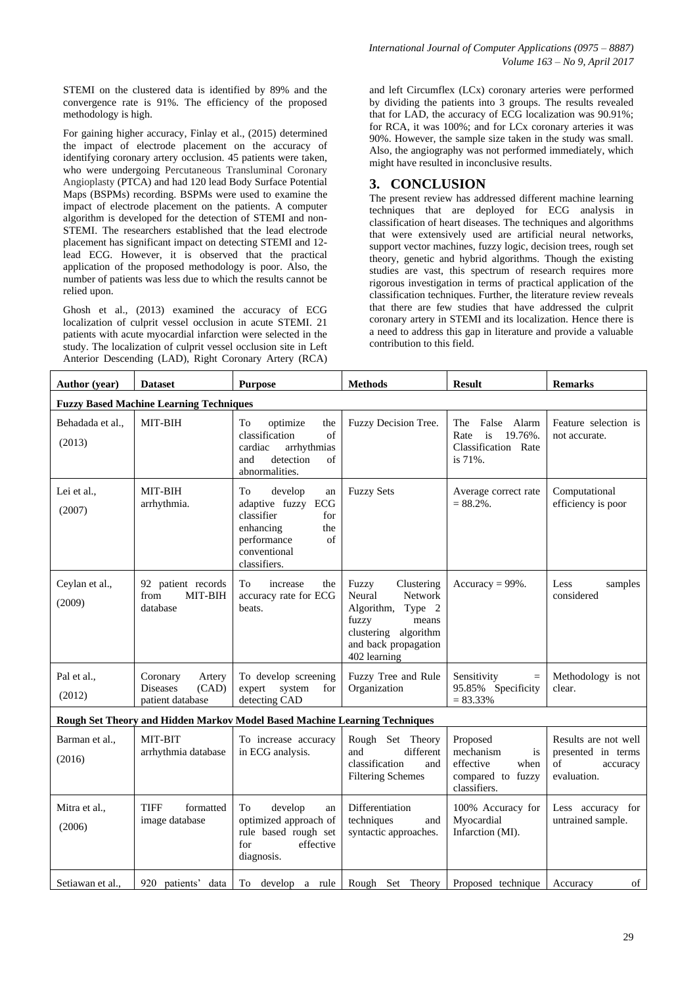STEMI on the clustered data is identified by 89% and the convergence rate is 91%. The efficiency of the proposed methodology is high.

For gaining higher accuracy, Finlay et al., (2015) determined the impact of electrode placement on the accuracy of identifying coronary artery occlusion. 45 patients were taken, who were undergoing Percutaneous Transluminal Coronary Angioplasty (PTCA) and had 120 lead Body Surface Potential Maps (BSPMs) recording. BSPMs were used to examine the impact of electrode placement on the patients. A computer algorithm is developed for the detection of STEMI and non-STEMI. The researchers established that the lead electrode placement has significant impact on detecting STEMI and 12 lead ECG. However, it is observed that the practical application of the proposed methodology is poor. Also, the number of patients was less due to which the results cannot be relied upon.

Ghosh et al., (2013) examined the accuracy of ECG localization of culprit vessel occlusion in acute STEMI. 21 patients with acute myocardial infarction were selected in the study. The localization of culprit vessel occlusion site in Left Anterior Descending (LAD), Right Coronary Artery (RCA)

and left Circumflex (LCx) coronary arteries were performed by dividing the patients into 3 groups. The results revealed that for LAD, the accuracy of ECG localization was 90.91%; for RCA, it was 100%; and for LCx coronary arteries it was 90%. However, the sample size taken in the study was small. Also, the angiography was not performed immediately, which might have resulted in inconclusive results.

## **3. CONCLUSION**

The present review has addressed different machine learning techniques that are deployed for ECG analysis in classification of heart diseases. The techniques and algorithms that were extensively used are artificial neural networks, support vector machines, fuzzy logic, decision trees, rough set theory, genetic and hybrid algorithms. Though the existing studies are vast, this spectrum of research requires more rigorous investigation in terms of practical application of the classification techniques. Further, the literature review reveals that there are few studies that have addressed the culprit coronary artery in STEMI and its localization. Hence there is a need to address this gap in literature and provide a valuable contribution to this field.

| Author (year)                                                              | <b>Dataset</b>                                                     | <b>Purpose</b>                                                                                                                                  | <b>Methods</b>                                                                                                                                            | <b>Result</b>                                                                         | <b>Remarks</b>                                                              |  |
|----------------------------------------------------------------------------|--------------------------------------------------------------------|-------------------------------------------------------------------------------------------------------------------------------------------------|-----------------------------------------------------------------------------------------------------------------------------------------------------------|---------------------------------------------------------------------------------------|-----------------------------------------------------------------------------|--|
|                                                                            | <b>Fuzzy Based Machine Learning Techniques</b>                     |                                                                                                                                                 |                                                                                                                                                           |                                                                                       |                                                                             |  |
| Behadada et al.,<br>(2013)                                                 | MIT-BIH                                                            | To<br>optimize<br>the<br>classification<br>of<br>cardiac<br>arrhythmias<br>detection<br>of<br>and<br>abnormalities.                             | Fuzzy Decision Tree.                                                                                                                                      | The False Alarm<br>Rate<br>is<br>19.76%.<br>Classification Rate<br>is 71%.            | Feature selection is<br>not accurate.                                       |  |
| Lei et al.,<br>(2007)                                                      | MIT-BIH<br>arrhythmia.                                             | To<br>develop<br>an<br>adaptive fuzzy ECG<br>classifier<br>for<br>enhancing<br>the<br>$\sigma$ f<br>performance<br>conventional<br>classifiers. | <b>Fuzzy Sets</b>                                                                                                                                         | Average correct rate<br>$= 88.2\%$ .                                                  | Computational<br>efficiency is poor                                         |  |
| Ceylan et al.,<br>(2009)                                                   | 92 patient records<br>from<br>MIT-BIH<br>database                  | To<br>increase<br>the<br>accuracy rate for ECG<br>beats.                                                                                        | Fuzzy<br>Clustering<br>Neural<br><b>Network</b><br>Algorithm,<br>Type 2<br>fuzzy<br>means<br>clustering algorithm<br>and back propagation<br>402 learning | $Accuracy = 99\%$ .                                                                   | Less<br>samples<br>considered                                               |  |
| Pal et al<br>(2012)                                                        | Coronary<br>Artery<br><b>Diseases</b><br>(CAD)<br>patient database | To develop screening<br>expert<br>system<br>for<br>detecting CAD                                                                                | Fuzzy Tree and Rule<br>Organization                                                                                                                       | Sensitivity<br>$=$<br>95.85% Specificity<br>$= 83.33\%$                               | Methodology is not<br>clear.                                                |  |
| Rough Set Theory and Hidden Markov Model Based Machine Learning Techniques |                                                                    |                                                                                                                                                 |                                                                                                                                                           |                                                                                       |                                                                             |  |
| Barman et al<br>(2016)                                                     | MIT-BIT<br>arrhythmia database                                     | To increase accuracy<br>in ECG analysis.                                                                                                        | Rough Set Theory<br>and<br>different<br>classification<br>and<br><b>Filtering Schemes</b>                                                                 | Proposed<br>mechanism<br>is<br>effective<br>when<br>compared to fuzzy<br>classifiers. | Results are not well<br>presented in terms<br>of<br>accuracy<br>evaluation. |  |
| Mitra et al.,<br>(2006)                                                    | <b>TIFF</b><br>formatted<br>image database                         | To<br>develop<br>an<br>optimized approach of<br>rule based rough set<br>effective<br>for<br>diagnosis.                                          | Differentiation<br>techniques<br>and<br>syntactic approaches.                                                                                             | 100% Accuracy for<br>Myocardial<br>Infarction (MI).                                   | Less accuracy for<br>untrained sample.                                      |  |
| Setiawan et al.,                                                           | 920 patients' data                                                 | To develop a rule                                                                                                                               | Rough Set Theory                                                                                                                                          | Proposed technique                                                                    | of<br>Accuracy                                                              |  |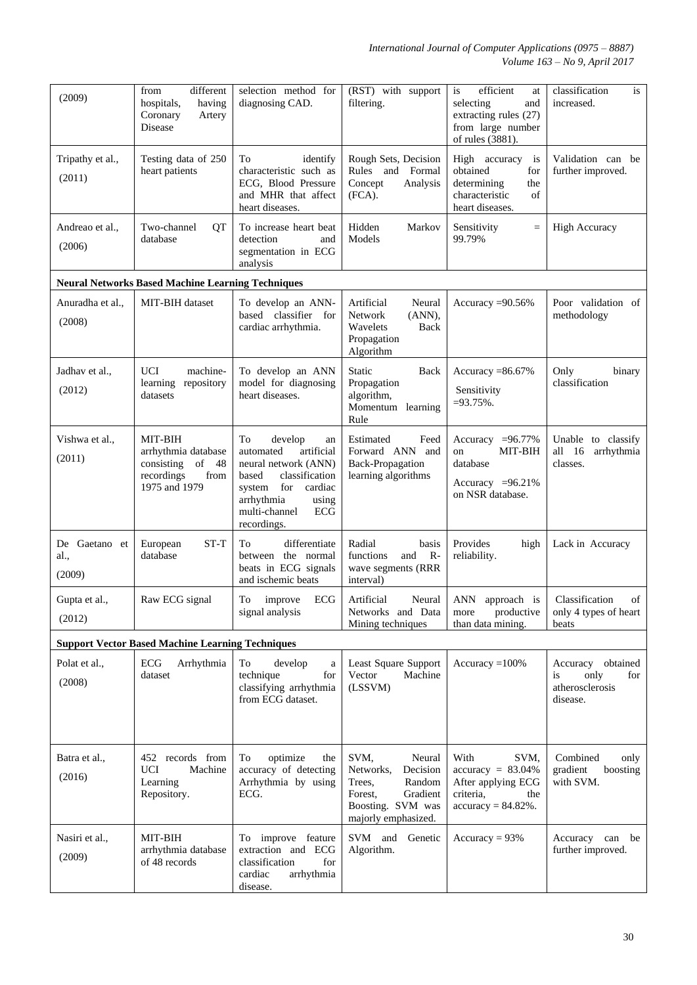| (2009)                          | different<br>from<br>hospitals,<br>having<br>Coronary<br>Artery<br>Disease                      | selection method for<br>diagnosing CAD.                                                                                                                                                     | (RST) with support<br>filtering.                                                                                               | efficient<br>is<br>at<br>selecting<br>and<br>extracting rules (27)<br>from large number<br>of rules (3881). | classification<br>is<br>increased.                                    |
|---------------------------------|-------------------------------------------------------------------------------------------------|---------------------------------------------------------------------------------------------------------------------------------------------------------------------------------------------|--------------------------------------------------------------------------------------------------------------------------------|-------------------------------------------------------------------------------------------------------------|-----------------------------------------------------------------------|
| Tripathy et al.,<br>(2011)      | Testing data of 250<br>heart patients                                                           | To<br>identify<br>characteristic such as<br>ECG, Blood Pressure<br>and MHR that affect<br>heart diseases.                                                                                   | Rough Sets, Decision<br>Rules and<br>Formal<br>Concept<br>Analysis<br>(FCA).                                                   | High accuracy<br>is<br>obtained<br>for<br>determining<br>the<br>characteristic<br>of<br>heart diseases.     | Validation can be<br>further improved.                                |
| Andreao et al<br>(2006)         | Two-channel<br>QT<br>database                                                                   | To increase heart beat<br>detection<br>and<br>segmentation in ECG<br>analysis                                                                                                               | Hidden<br>Markov<br>Models                                                                                                     | Sensitivity<br>$\equiv$<br>99.79%                                                                           | <b>High Accuracy</b>                                                  |
|                                 | <b>Neural Networks Based Machine Learning Techniques</b>                                        |                                                                                                                                                                                             |                                                                                                                                |                                                                                                             |                                                                       |
| Anuradha et al.,<br>(2008)      | MIT-BIH dataset                                                                                 | To develop an ANN-<br>based classifier for<br>cardiac arrhythmia.                                                                                                                           | Artificial<br>Neural<br><b>Network</b><br>(ANN),<br>Back<br>Wavelets<br>Propagation<br>Algorithm                               | Accuracy $=90.56\%$                                                                                         | Poor validation of<br>methodology                                     |
| Jadhav et al.,<br>(2012)        | <b>UCI</b><br>machine-<br>learning<br>repository<br>datasets                                    | To develop an ANN<br>model for diagnosing<br>heart diseases.                                                                                                                                | Static<br>Back<br>Propagation<br>algorithm,<br>Momentum learning<br>Rule                                                       | Accuracy $=86.67\%$<br>Sensitivity<br>$=93.75\%$ .                                                          | Only<br>binary<br>classification                                      |
| Vishwa et al.,<br>(2011)        | MIT-BIH<br>arrhythmia database<br>of<br>consisting<br>48<br>recordings<br>from<br>1975 and 1979 | To<br>develop<br>an<br>artificial<br>automated<br>neural network (ANN)<br>classification<br>based<br>for<br>cardiac<br>system<br>arrhythmia<br>using<br>multi-channel<br>ECG<br>recordings. | Feed<br>Estimated<br>Forward ANN and<br><b>Back-Propagation</b><br>learning algorithms                                         | Accuracy $=96.77\%$<br>MIT-BIH<br>on<br>database<br>Accuracy $=96.21\%$<br>on NSR database.                 | Unable to classify<br>-16<br>all<br>arrhythmia<br>classes.            |
| De Gaetano et<br>al.,<br>(2009) | ST-T<br>European<br>database                                                                    | differentiate<br>To<br>between the normal<br>beats in ECG signals<br>and ischemic beats                                                                                                     | Radial<br>basis<br>functions<br>$R-$<br>and<br>wave segments (RRR<br>interval)                                                 | Provides<br>high<br>reliability.                                                                            | Lack in Accuracy                                                      |
| Gupta et al.,<br>(2012)         | Raw ECG signal                                                                                  | ECG<br>To<br>improve<br>signal analysis                                                                                                                                                     | Artificial<br>Neural<br>Networks and Data<br>Mining techniques                                                                 | ANN approach is<br>productive<br>more<br>than data mining.                                                  | Classification<br>of<br>only 4 types of heart<br>beats                |
|                                 | <b>Support Vector Based Machine Learning Techniques</b>                                         |                                                                                                                                                                                             |                                                                                                                                |                                                                                                             |                                                                       |
| Polat et al.,<br>(2008)         | ECG<br>Arrhythmia<br>dataset                                                                    | To<br>develop<br>a<br>technique<br>for<br>classifying arrhythmia<br>from ECG dataset.                                                                                                       | Least Square Support<br>Vector<br>Machine<br>(LSSVM)                                                                           | Accuracy $=100\%$                                                                                           | Accuracy obtained<br>only<br>for<br>is<br>atherosclerosis<br>disease. |
| Batra et al.,<br>(2016)         | 452 records from<br><b>UCI</b><br>Machine<br>Learning<br>Repository.                            | optimize<br>To<br>the<br>accuracy of detecting<br>Arrhythmia by using<br>ECG.                                                                                                               | SVM.<br>Neural<br>Decision<br>Networks,<br>Random<br>Trees.<br>Gradient<br>Forest,<br>Boosting. SVM was<br>majorly emphasized. | With<br>SVM,<br>$accuracy = 83.04\%$<br>After applying ECG<br>criteria,<br>the<br>$accuracy = 84.82\%$ .    | Combined<br>only<br>gradient<br>boosting<br>with SVM.                 |
| Nasiri et al.,<br>(2009)        | MIT-BIH<br>arrhythmia database<br>of 48 records                                                 | To improve feature<br>extraction and ECG<br>classification<br>for<br>cardiac<br>arrhythmia<br>disease.                                                                                      | SVM and<br>Genetic<br>Algorithm.                                                                                               | $Accuracy = 93%$                                                                                            | Accuracy can be<br>further improved.                                  |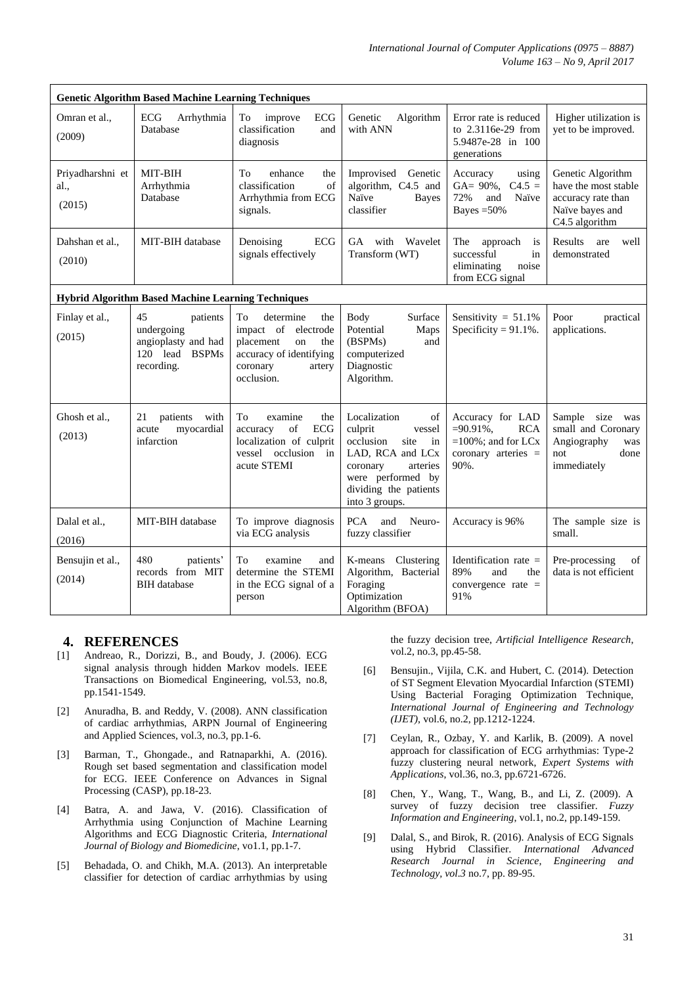| <b>Genetic Algorithm Based Machine Learning Techniques</b> |                                                                                     |                                                                                                                                           |                                                                                                                                                                                |                                                                                                           |                                                                                                      |  |
|------------------------------------------------------------|-------------------------------------------------------------------------------------|-------------------------------------------------------------------------------------------------------------------------------------------|--------------------------------------------------------------------------------------------------------------------------------------------------------------------------------|-----------------------------------------------------------------------------------------------------------|------------------------------------------------------------------------------------------------------|--|
| Omran et al.,<br>(2009)                                    | ECG<br>Arrhythmia<br>Database                                                       | improve<br>ECG<br>To<br>classification<br>and<br>diagnosis                                                                                | Genetic<br>Algorithm<br>with ANN                                                                                                                                               | Error rate is reduced<br>to 2.3116e-29 from<br>5.9487e-28 in 100<br>generations                           | Higher utilization is<br>yet to be improved.                                                         |  |
| Priyadharshni et<br>al.,<br>(2015)                         | MIT-BIH<br>Arrhythmia<br>Database                                                   | enhance<br>To<br>the<br>classification<br>of<br>Arrhythmia from ECG<br>signals.                                                           | Improvised Genetic<br>algorithm, C4.5 and<br>Naïve<br><b>Bayes</b><br>classifier                                                                                               | Accuracy<br>using<br>GA= $90\%$ , C4.5 =<br>72%<br>Naïve<br>and<br>Bayes $=50\%$                          | Genetic Algorithm<br>have the most stable<br>accuracy rate than<br>Naïve bayes and<br>C4.5 algorithm |  |
| Dahshan et al.,<br>(2010)                                  | MIT-BIH database                                                                    | ECG<br>Denoising<br>signals effectively                                                                                                   | GA with<br>Wavelet<br>Transform (WT)                                                                                                                                           | The<br>approach<br>is<br>successful<br>in<br>noise<br>eliminating<br>from ECG signal                      | Results<br>well<br>are<br>demonstrated                                                               |  |
|                                                            | <b>Hybrid Algorithm Based Machine Learning Techniques</b>                           |                                                                                                                                           |                                                                                                                                                                                |                                                                                                           |                                                                                                      |  |
| Finlay et al.,<br>(2015)                                   | 45<br>patients<br>undergoing<br>angioplasty and had<br>120 lead BSPMs<br>recording. | determine<br>To<br>the<br>impact of<br>electrode<br>placement<br>on<br>the<br>accuracy of identifying<br>coronary<br>artery<br>occlusion. | Surface<br>Body<br>Potential<br>Maps<br>(BSPMs)<br>and<br>computerized<br>Diagnostic<br>Algorithm.                                                                             | Sensitivity = $51.1\%$<br>Specificity = $91.1\%$ .                                                        | Poor<br>practical<br>applications.                                                                   |  |
| Ghosh et al.,<br>(2013)                                    | 21<br>patients<br>with<br>myocardial<br>acute<br>infarction                         | To<br>examine<br>the<br><b>ECG</b><br>of<br>accuracy<br>localization of culprit<br>vessel occlusion in<br>acute STEMI                     | Localization<br>of<br>culprit<br>vessel<br>occlusion<br>site<br>in<br>LAD, RCA and LCx<br>coronary<br>arteries<br>were performed by<br>dividing the patients<br>into 3 groups. | Accuracy for LAD<br>$=90.91\%$ ,<br><b>RCA</b><br>$=100\%$ ; and for LCx<br>coronary arteries $=$<br>90%. | Sample size was<br>small and Coronary<br>Angiography<br>was<br>not<br>done<br>immediately            |  |
| Dalal et al.,<br>(2016)                                    | MIT-BIH database                                                                    | To improve diagnosis<br>via ECG analysis                                                                                                  | <b>PCA</b><br>and<br>Neuro-<br>fuzzy classifier                                                                                                                                | Accuracy is 96%                                                                                           | The sample size is<br>small.                                                                         |  |
| Bensujin et al.,<br>(2014)                                 | 480<br>patients'<br>records from MIT<br><b>BIH</b> database                         | To<br>examine<br>and<br>determine the STEMI<br>in the ECG signal of a<br>person                                                           | K-means Clustering<br>Algorithm, Bacterial<br>Foraging<br>Optimization<br>Algorithm (BFOA)                                                                                     | Identification rate $=$<br>89%<br>and<br>the<br>convergence rate $=$<br>91%                               | Pre-processing<br>of<br>data is not efficient                                                        |  |

#### **4. REFERENCES**

- [1] Andreao, R., Dorizzi, B., and Boudy, J. (2006). ECG signal analysis through hidden Markov models. IEEE Transactions on Biomedical Engineering, vol.53, no.8, pp.1541-1549.
- [2] Anuradha, B. and Reddy, V. (2008). ANN classification of cardiac arrhythmias, ARPN Journal of Engineering and Applied Sciences, vol.3, no.3, pp.1-6.
- [3] Barman, T., Ghongade., and Ratnaparkhi, A. (2016). Rough set based segmentation and classification model for ECG. IEEE Conference on Advances in Signal Processing (CASP), pp.18-23.
- [4] Batra, A. and Jawa, V. (2016). Classification of Arrhythmia using Conjunction of Machine Learning Algorithms and ECG Diagnostic Criteria, *International Journal of Biology and Biomedicine*, vo1.1, pp.1-7.
- [5] Behadada, O. and Chikh, M.A. (2013). An interpretable classifier for detection of cardiac arrhythmias by using

the fuzzy decision tree, *Artificial Intelligence Research*, vol.2, no.3, pp.45-58.

- [6] Bensujin., Vijila, C.K. and Hubert, C. (2014). Detection of ST Segment Elevation Myocardial Infarction (STEMI) Using Bacterial Foraging Optimization Technique, *International Journal of Engineering and Technology (IJET)*, vol.6, no.2, pp.1212-1224.
- [7] Ceylan, R., Ozbay, Y. and Karlik, B. (2009). A novel approach for classification of ECG arrhythmias: Type-2 fuzzy clustering neural network, *Expert Systems with Applications*, vol.36, no.3, pp.6721-6726.
- [8] Chen, Y., Wang, T., Wang, B., and Li, Z. (2009). A survey of fuzzy decision tree classifier. *Fuzzy Information and Engineering*, vol.1, no.2, pp.149-159.
- [9] Dalal, S., and Birok, R. (2016). Analysis of ECG Signals using Hybrid Classifier. *International Advanced Research Journal in Science, Engineering and Technology, vol.3* no.7, pp. 89-95.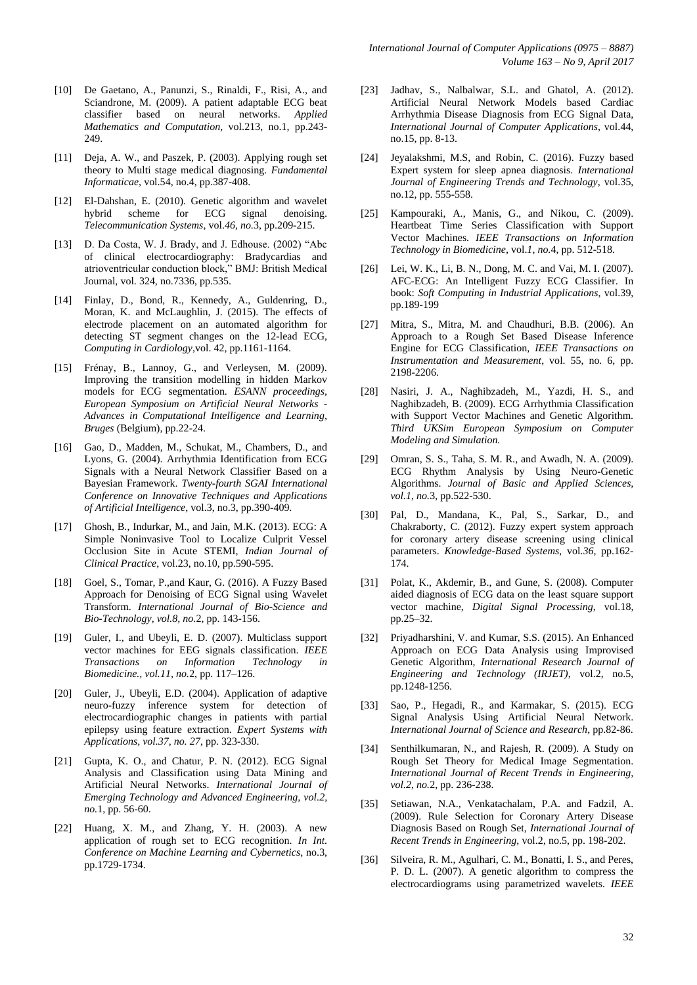- [10] De Gaetano, A., Panunzi, S., Rinaldi, F., Risi, A., and Sciandrone, M. (2009). A patient adaptable ECG beat classifier based on neural networks. *Applied Mathematics and Computation,* vol.213, no.1, pp.243- 249.
- [11] Deja, A. W., and Paszek, P. (2003). Applying rough set theory to Multi stage medical diagnosing. *Fundamental Informaticae,* vol.54, no.4, pp.387-408.
- [12] El-Dahshan, E. (2010). Genetic algorithm and wavelet hybrid scheme for ECG signal denoising. *Telecommunication Systems*, vol.*46, no.*3, pp.209-215.
- [13] D. Da Costa, W. J. Brady, and J. Edhouse. (2002) "Abc of clinical electrocardiography: Bradycardias and atrioventricular conduction block," BMJ: British Medical Journal, vol. 324, no.7336, pp.535.
- [14] Finlay, D., Bond, R., Kennedy, A., Guldenring, D., Moran, K. and McLaughlin, J. (2015). The effects of electrode placement on an automated algorithm for detecting ST segment changes on the 12-lead ECG, *Computing in Cardiology*,vol. 42, pp.1161-1164.
- [15] Frénay, B., Lannoy, G., and Verleysen, M. (2009). Improving the transition modelling in hidden Markov models for ECG segmentation. *ESANN proceedings, European Symposium on Artificial Neural Networks - Advances in Computational Intelligence and Learning, Bruges* (Belgium), pp.22-24.
- [16] Gao, D., Madden, M., Schukat, M., Chambers, D., and Lyons, G. (2004). Arrhythmia Identification from ECG Signals with a Neural Network Classifier Based on a Bayesian Framework. *Twenty-fourth SGAI International Conference on Innovative Techniques and Applications of Artificial Intelligence*, vol.3, no.3, pp.390-409.
- [17] Ghosh, B., Indurkar, M., and Jain, M.K. (2013). ECG: A Simple Noninvasive Tool to Localize Culprit Vessel Occlusion Site in Acute STEMI, *Indian Journal of Clinical Practice*, vol.23, no.10, pp.590-595.
- [18] Goel, S., Tomar, P.,and Kaur, G. (2016). A Fuzzy Based Approach for Denoising of ECG Signal using Wavelet Transform. *International Journal of Bio-Science and Bio-Technology, vol.8, no.*2, pp. 143-156.
- [19] Guler, I., and Ubeyli, E. D. (2007). Multiclass support vector machines for EEG signals classification. *IEEE Transactions on Information Technology in Biomedicine., vol.11, no.*2, pp. 117–126.
- [20] Guler, J., Ubeyli, E.D. (2004). Application of adaptive neuro-fuzzy inference system for detection of electrocardiographic changes in patients with partial epilepsy using feature extraction. *Expert Systems with Applications, vol.37, no. 27*, pp. 323-330.
- [21] Gupta, K. O., and Chatur, P. N. (2012). ECG Signal Analysis and Classification using Data Mining and Artificial Neural Networks. *International Journal of Emerging Technology and Advanced Engineering, vol.2, no.*1, pp. 56-60.
- [22] Huang, X. M., and Zhang, Y. H. (2003). A new application of rough set to ECG recognition. *In Int. Conference on Machine Learning and Cybernetics*, no.3, pp.1729-1734.
- [23] Jadhav, S., Nalbalwar, S.L. and Ghatol, A. (2012). Artificial Neural Network Models based Cardiac Arrhythmia Disease Diagnosis from ECG Signal Data, *International Journal of Computer Applications*, vol.44, no.15, pp. 8-13.
- [24] Jeyalakshmi, M.S, and Robin, C. (2016). Fuzzy based Expert system for sleep apnea diagnosis. *International Journal of Engineering Trends and Technology*, vol.35, no.12, pp. 555-558.
- [25] Kampouraki, A., Manis, G., and Nikou, C. (2009). Heartbeat Time Series Classification with Support Vector Machines. *IEEE Transactions on Information Technology in Biomedicine*, vol.*1, no.*4, pp. 512-518.
- [26] Lei, W. K., Li, B. N., Dong, M. C. and Vai, M. I. (2007). AFC-ECG: An Intelligent Fuzzy ECG Classifier. In book: *Soft Computing in Industrial Applications*, vol.39, pp.189-199
- [27] Mitra, S., Mitra, M. and Chaudhuri, B.B. (2006). An Approach to a Rough Set Based Disease Inference Engine for ECG Classification, *IEEE Transactions on Instrumentation and Measurement*, vol. 55, no. 6, pp. 2198-2206.
- [28] Nasiri, J. A., Naghibzadeh, M., Yazdi, H. S., and Naghibzadeh, B. (2009). ECG Arrhythmia Classification with Support Vector Machines and Genetic Algorithm. *Third UKSim European Symposium on Computer Modeling and Simulation.*
- [29] Omran, S. S., Taha, S. M. R., and Awadh, N. A. (2009). ECG Rhythm Analysis by Using Neuro-Genetic Algorithms. *Journal of Basic and Applied Sciences, vol.1, no.*3, pp.522-530.
- [30] Pal, D., Mandana, K., Pal, S., Sarkar, D., and Chakraborty, C. (2012). Fuzzy expert system approach for coronary artery disease screening using clinical parameters. *Knowledge-Based Systems*, vol.*36*, pp.162- 174.
- [31] Polat, K., Akdemir, B., and Gune, S. (2008). Computer aided diagnosis of ECG data on the least square support vector machine, *Digital Signal Processing*, vol.18, pp.25–32.
- [32] Priyadharshini, V. and Kumar, S.S. (2015). An Enhanced Approach on ECG Data Analysis using Improvised Genetic Algorithm, *International Research Journal of Engineering and Technology (IRJET)*, vol.2, no.5, pp.1248-1256.
- [33] Sao, P., Hegadi, R., and Karmakar, S. (2015). ECG Signal Analysis Using Artificial Neural Network. *International Journal of Science and Research*, pp.82-86.
- [34] Senthilkumaran, N., and Rajesh, R. (2009). A Study on Rough Set Theory for Medical Image Segmentation. *International Journal of Recent Trends in Engineering, vol.2, no.*2, pp. 236-238.
- [35] Setiawan, N.A., Venkatachalam, P.A. and Fadzil, A. (2009). Rule Selection for Coronary Artery Disease Diagnosis Based on Rough Set, *International Journal of Recent Trends in Engineering*, vol.2, no.5, pp. 198-202.
- [36] Silveira, R. M., Agulhari, C. M., Bonatti, I. S., and Peres, P. D. L. (2007). A genetic algorithm to compress the electrocardiograms using parametrized wavelets. *IEEE*